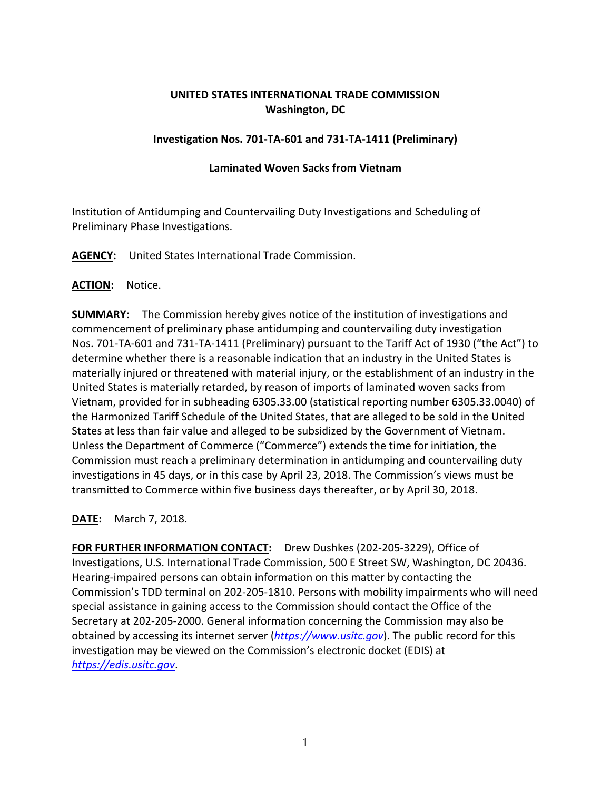# **UNITED STATES INTERNATIONAL TRADE COMMISSION Washington, DC**

## **Investigation Nos. 701-TA-601 and 731-TA-1411 (Preliminary)**

### **Laminated Woven Sacks from Vietnam**

Institution of Antidumping and Countervailing Duty Investigations and Scheduling of Preliminary Phase Investigations.

**AGENCY:** United States International Trade Commission.

## **ACTION:** Notice.

**SUMMARY:** The Commission hereby gives notice of the institution of investigations and commencement of preliminary phase antidumping and countervailing duty investigation Nos. 701-TA-601 and 731-TA-1411 (Preliminary) pursuant to the Tariff Act of 1930 ("the Act") to determine whether there is a reasonable indication that an industry in the United States is materially injured or threatened with material injury, or the establishment of an industry in the United States is materially retarded, by reason of imports of laminated woven sacks from Vietnam, provided for in subheading 6305.33.00 (statistical reporting number 6305.33.0040) of the Harmonized Tariff Schedule of the United States, that are alleged to be sold in the United States at less than fair value and alleged to be subsidized by the Government of Vietnam. Unless the Department of Commerce ("Commerce") extends the time for initiation, the Commission must reach a preliminary determination in antidumping and countervailing duty investigations in 45 days, or in this case by April 23, 2018. The Commission's views must be transmitted to Commerce within five business days thereafter, or by April 30, 2018.

**DATE:** March 7, 2018.

**FOR FURTHER INFORMATION CONTACT:** Drew Dushkes (202-205-3229), Office of Investigations, U.S. International Trade Commission, 500 E Street SW, Washington, DC 20436. Hearing-impaired persons can obtain information on this matter by contacting the Commission's TDD terminal on 202-205-1810. Persons with mobility impairments who will need special assistance in gaining access to the Commission should contact the Office of the Secretary at 202-205-2000. General information concerning the Commission may also be obtained by accessing its internet server (*[https://www.usitc.gov](https://www.usitc.gov/)*). The public record for this investigation may be viewed on the Commission's electronic docket (EDIS) at *[https://edis.usitc.gov](https://edis.usitc.gov/)*.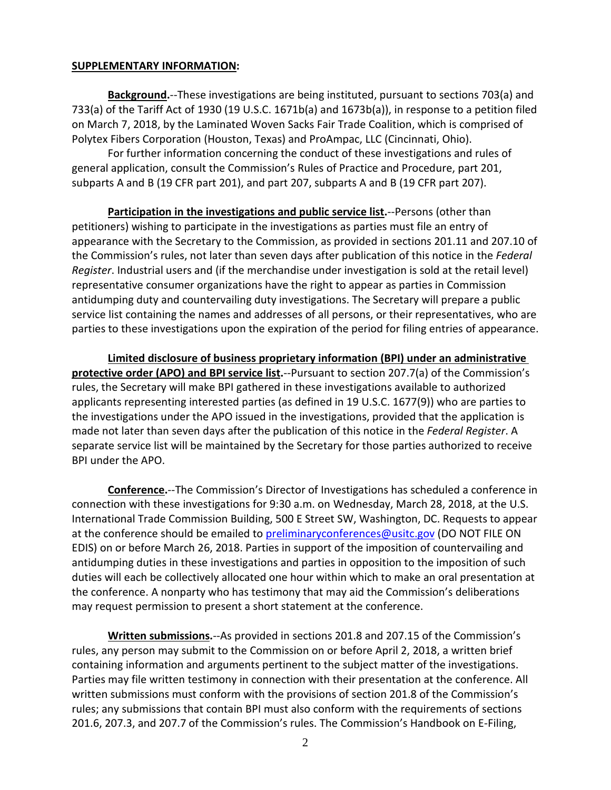#### **SUPPLEMENTARY INFORMATION:**

**Background.**--These investigations are being instituted, pursuant to sections 703(a) and 733(a) of the Tariff Act of 1930 (19 U.S.C. 1671b(a) and 1673b(a)), in response to a petition filed on March 7, 2018, by the Laminated Woven Sacks Fair Trade Coalition, which is comprised of Polytex Fibers Corporation (Houston, Texas) and ProAmpac, LLC (Cincinnati, Ohio).

For further information concerning the conduct of these investigations and rules of general application, consult the Commission's Rules of Practice and Procedure, part 201, subparts A and B (19 CFR part 201), and part 207, subparts A and B (19 CFR part 207).

**Participation in the investigations and public service list.**--Persons (other than petitioners) wishing to participate in the investigations as parties must file an entry of appearance with the Secretary to the Commission, as provided in sections 201.11 and 207.10 of the Commission's rules, not later than seven days after publication of this notice in the *Federal Register*. Industrial users and (if the merchandise under investigation is sold at the retail level) representative consumer organizations have the right to appear as parties in Commission antidumping duty and countervailing duty investigations. The Secretary will prepare a public service list containing the names and addresses of all persons, or their representatives, who are parties to these investigations upon the expiration of the period for filing entries of appearance.

**Limited disclosure of business proprietary information (BPI) under an administrative protective order (APO) and BPI service list.**--Pursuant to section 207.7(a) of the Commission's rules, the Secretary will make BPI gathered in these investigations available to authorized applicants representing interested parties (as defined in 19 U.S.C. 1677(9)) who are parties to the investigations under the APO issued in the investigations, provided that the application is made not later than seven days after the publication of this notice in the *Federal Register*. A separate service list will be maintained by the Secretary for those parties authorized to receive BPI under the APO.

**Conference.**--The Commission's Director of Investigations has scheduled a conference in connection with these investigations for 9:30 a.m. on Wednesday, March 28, 2018, at the U.S. International Trade Commission Building, 500 E Street SW, Washington, DC. Requests to appear at the conference should be emailed to [preliminaryconferences@usitc.gov](mailto:preliminaryconferences@usitc.gov) (DO NOT FILE ON EDIS) on or before March 26, 2018. Parties in support of the imposition of countervailing and antidumping duties in these investigations and parties in opposition to the imposition of such duties will each be collectively allocated one hour within which to make an oral presentation at the conference. A nonparty who has testimony that may aid the Commission's deliberations may request permission to present a short statement at the conference.

**Written submissions.**--As provided in sections 201.8 and 207.15 of the Commission's rules, any person may submit to the Commission on or before April 2, 2018, a written brief containing information and arguments pertinent to the subject matter of the investigations. Parties may file written testimony in connection with their presentation at the conference. All written submissions must conform with the provisions of section 201.8 of the Commission's rules; any submissions that contain BPI must also conform with the requirements of sections 201.6, 207.3, and 207.7 of the Commission's rules. The Commission's Handbook on E-Filing,